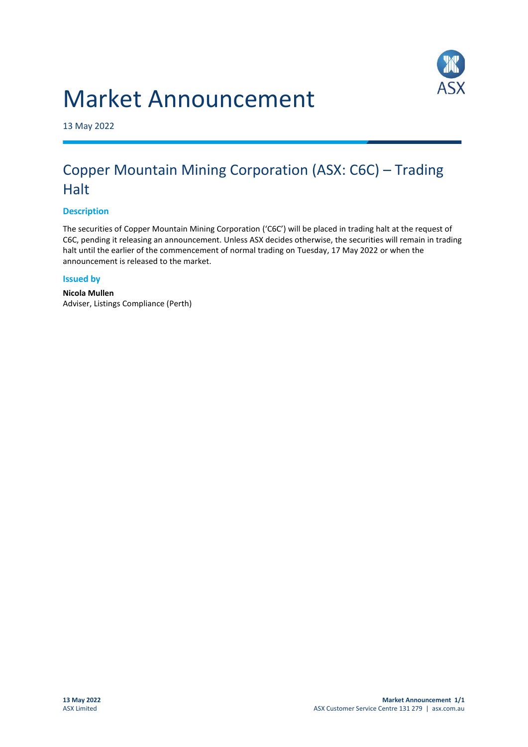



13 May 2022

## Copper Mountain Mining Corporation (ASX: C6C) – Trading **Halt**

## **Description**

The securities of Copper Mountain Mining Corporation ('C6C') will be placed in trading halt at the request of C6C, pending it releasing an announcement. Unless ASX decides otherwise, the securities will remain in trading halt until the earlier of the commencement of normal trading on Tuesday, 17 May 2022 or when the announcement is released to the market.

## **Issued by**

**Nicola Mullen** Adviser, Listings Compliance (Perth)